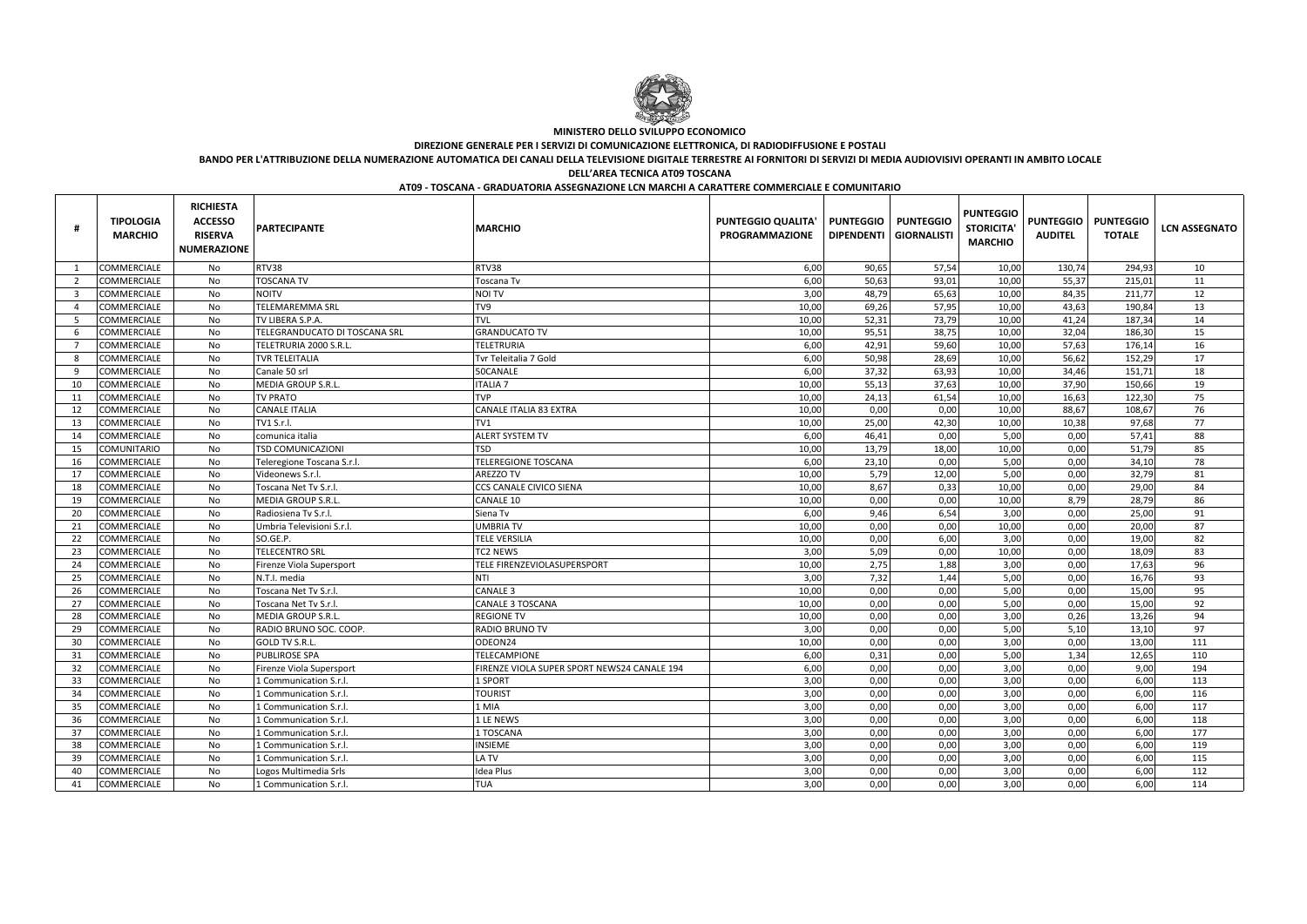| Ħ              | <b>TIPOLOGIA</b><br><b>MARCHIO</b> | <b>RICHIESTA</b><br><b>ACCESSO</b><br><b>RISERVA</b><br><b>NUMERAZIONE</b> | <b>PARTECIPANTE</b>           | <b>MARCHIO</b>                              | <b>PUNTEGGIO QUALITA'</b><br><b>PROGRAMMAZIONE</b> | <b>PUNTEGGIO</b><br><b>DIPENDENTI</b> | <b>PUNTEGGIO</b><br><b>GIORNALISTI</b> | <b>PUNTEGGIO</b><br><b>STORICITA</b><br><b>MARCHIO</b> | <b>PUNTEGGIO</b><br><b>AUDITEL</b> | <b>PUNTEGGIO</b><br><b>TOTALE</b> | <b>LCN ASSEGNATO</b> |
|----------------|------------------------------------|----------------------------------------------------------------------------|-------------------------------|---------------------------------------------|----------------------------------------------------|---------------------------------------|----------------------------------------|--------------------------------------------------------|------------------------------------|-----------------------------------|----------------------|
|                | <b>COMMERCIALE</b>                 | No                                                                         | RTV38                         | RTV38                                       | 6,00                                               | 90,65                                 | 57,54                                  | 10,00                                                  | 130,74                             | 294,93                            | 10                   |
| $\overline{2}$ | <b>COMMERCIALE</b>                 | No                                                                         | <b>TOSCANA TV</b>             | Toscana Tv                                  | 6,00                                               | 50,63                                 | 93,01                                  | 10,00                                                  | 55,37                              | 215,01                            | 11                   |
| -3             | <b>COMMERCIALE</b>                 | No                                                                         | <b>NOITV</b>                  | <b>NOI TV</b>                               | 3,00                                               | 48,79                                 | 65,63                                  | 10,00                                                  | 84,35                              | 211,77                            | 12                   |
| -4             | <b>COMMERCIALE</b>                 | No                                                                         | <b>TELEMAREMMA SRL</b>        | TV9                                         | 10,00                                              | 69,26                                 | 57,95                                  | 10,00                                                  | 43,63                              | 190,84                            | 13                   |
| -5             | <b>COMMERCIALE</b>                 | No                                                                         | TV LIBERA S.P.A.              | <b>TVL</b>                                  | 10,00                                              | 52,31                                 | 73,79                                  | 10,00                                                  | 41,24                              | 187,34                            | 14                   |
| -6             | <b>COMMERCIALE</b>                 | No                                                                         | TELEGRANDUCATO DI TOSCANA SRL | <b>GRANDUCATO TV</b>                        | 10,00                                              | 95,51                                 | 38,75                                  | 10,00                                                  | 32,04                              | 186,30                            | 15                   |
| - 7            | <b>COMMERCIALE</b>                 | No                                                                         | TELETRURIA 2000 S.R.L.        | <b>TELETRURIA</b>                           | 6,00                                               | 42,91                                 | 59,60                                  | 10,00                                                  | 57,63                              | 176,14                            | 16                   |
| -8             | <b>COMMERCIALE</b>                 | No                                                                         | TVR TELEITALIA                | Tvr Teleitalia 7 Gold                       | 6,00                                               | 50,98                                 | 28,69                                  | 10,00                                                  | 56,62                              | 152,29                            | 17                   |
| - 9            | <b>COMMERCIALE</b>                 | No                                                                         | Canale 50 srl                 | 50CANALE                                    | 6,00                                               | 37,32                                 | 63,93                                  | 10,00                                                  | 34,46                              | 151,71                            | 18                   |
| -10            | <b>COMMERCIALE</b>                 | No                                                                         | MEDIA GROUP S.R.L.            | <b>ITALIA 7</b>                             | 10,00                                              | 55,13                                 | 37,63                                  | 10,00                                                  | 37,90                              | 150,66                            | 19                   |
| -11            | <b>COMMERCIALE</b>                 | No                                                                         | <b>TV PRATO</b>               | <b>TVP</b>                                  | 10,00                                              | 24,13                                 | 61,54                                  | 10,00                                                  | 16,63                              | 122,30                            | 75                   |
| -12            | <b>COMMERCIALE</b>                 | No                                                                         | <b>CANALE ITALIA</b>          | CANALE ITALIA 83 EXTRA                      | 10,00                                              | 0,00                                  | 0,00                                   | 10,00                                                  | 88,67                              | 108,67                            | 76                   |
| 13             | <b>COMMERCIALE</b>                 | No                                                                         | TV1 S.r.l.                    | TV1                                         | 10,00                                              | 25,00                                 | 42,30                                  | 10,00                                                  | 10,38                              | 97,68                             | 77                   |
| 14             | <b>COMMERCIALE</b>                 | No                                                                         | comunica italia               | <b>ALERT SYSTEM TV</b>                      | 6,00                                               | 46,41                                 | 0,00                                   | 5,00                                                   | 0,00                               | 57,41                             | 88                   |
| 15             | <b>COMUNITARIO</b>                 | No                                                                         | TSD COMUNICAZIONI             | <b>TSD</b>                                  | 10,00                                              | 13,79                                 | 18,00                                  | 10,00                                                  | 0,00                               | 51,79                             | 85                   |
| -16            | <b>COMMERCIALE</b>                 | No                                                                         | Teleregione Toscana S.r.l     | <b>TELEREGIONE TOSCANA</b>                  | 6,00                                               | 23,10                                 | 0,00                                   | 5,00                                                   | 0,00                               | 34,10                             | 78                   |
| 17             | <b>COMMERCIALE</b>                 | No                                                                         | Videonews S.r.l.              | <b>AREZZO TV</b>                            | 10,00                                              | 5,79                                  | 12,00                                  | 5,00                                                   | 0,00                               | 32,79                             | 81                   |
| 18             | <b>COMMERCIALE</b>                 | No                                                                         | Toscana Net Tv S.r.l.         | CCS CANALE CIVICO SIENA                     | 10,00                                              | 8,67                                  | 0,33                                   | 10,00                                                  | 0,00                               | 29,00                             | 84                   |
| 19             | COMMERCIALE                        | No                                                                         | MEDIA GROUP S.R.L             | <b>CANALE 10</b>                            | 10,00                                              | 0,00                                  | 0,00                                   | 10,00                                                  | 8,79                               | 28,79                             | 86                   |
| -20            | COMMERCIALE                        | No                                                                         | Radiosiena Tv S.r.l.          | Siena Tv                                    | 6,00                                               | 9,46                                  | 6,54                                   | 3,00                                                   | 0,00                               | 25,00                             | 91                   |
| 21             | <b>COMMERCIALE</b>                 | No                                                                         | Umbria Televisioni S.r.l.     | <b>UMBRIA TV</b>                            | 10,00                                              | 0,00                                  | 0,00                                   | 10,00                                                  | 0,00                               | 20,00                             | 87                   |
| 22             | <b>COMMERCIALE</b>                 | No                                                                         | SO.GE.P.                      | <b>TELE VERSILIA</b>                        | 10,00                                              | 0,00                                  | 6,00                                   | 3,00                                                   | 0,00                               | 19,00                             | 82                   |
| -23            | <b>COMMERCIALE</b>                 | No                                                                         | <b>TELECENTRO SRL</b>         | <b>TC2 NEWS</b>                             | 3,00                                               | 5,09                                  | 0,00                                   | 10,00                                                  | 0,00                               | 18,09                             | 83                   |
| 24             | <b>COMMERCIALE</b>                 | No                                                                         | Firenze Viola Supersport      | TELE FIRENZEVIOLASUPERSPORT                 | 10,00                                              | 2,75                                  | 1,88                                   | 3,00                                                   | 0,00                               | 17,63                             | 96                   |
| 25             | <b>COMMERCIALE</b>                 | No                                                                         | N.T.I. media                  | <b>NTI</b>                                  | 3,00                                               | 7,32                                  | 1,44                                   | 5,00                                                   | 0,00                               | 16,76                             | 93                   |
| -26            | <b>COMMERCIALE</b>                 | No                                                                         | Toscana Net Tv S.r.l.         | <b>CANALE 3</b>                             | 10,00                                              | 0,00                                  | 0,00                                   | 5,00                                                   | 0,00                               | 15,00                             | 95                   |
| 27             | <b>COMMERCIALE</b>                 | No                                                                         | Toscana Net Tv S.r.l.         | CANALE 3 TOSCANA                            | 10,00                                              | 0,00                                  | 0,00                                   | 5,00                                                   | 0,00                               | 15,00                             | 92                   |
| 28             | <b>COMMERCIALE</b>                 | No                                                                         | MEDIA GROUP S.R.L             | <b>REGIONE TV</b>                           | 10,00                                              | 0,00                                  | 0,00                                   | 3,00                                                   | 0,26                               | 13,26                             | 94                   |
| 29             | <b>COMMERCIALE</b>                 | No                                                                         | RADIO BRUNO SOC. COOP.        | <b>RADIO BRUNO TV</b>                       | 3,00                                               | 0,00                                  | 0,00                                   | 5,00                                                   | 5,10                               | 13,10                             | 97                   |
| 30             | <b>COMMERCIALE</b>                 | No                                                                         | GOLD TV S.R.L.                | ODEON24                                     | 10,00                                              | 0,00                                  | 0,00                                   | 3,00                                                   | 0,00                               | 13,00                             | 111                  |
| 31             | <b>COMMERCIALE</b>                 | No                                                                         | PUBLIROSE SPA                 | TELECAMPIONE                                | 6,00                                               | 0,31                                  | 0,00                                   | 5,00                                                   | 1,34                               | 12,65                             | 110                  |
| 32             | COMMERCIALE                        | No                                                                         | Firenze Viola Supersport      | FIRENZE VIOLA SUPER SPORT NEWS24 CANALE 194 | 6,00                                               | 0,00                                  | 0,00                                   | 3,00                                                   | 0,00                               | 9,00                              | 194                  |
| 33             | COMMERCIALE                        | No                                                                         | 1 Communication S.r.l.        | 1 SPORT                                     | 3,00                                               | 0,00                                  | 0,00                                   | 3,00                                                   | 0,00                               | 6,00                              | 113                  |
| -34            | <b>COMMERCIALE</b>                 | No                                                                         | 1 Communication S.r.l.        | <b>TOURIST</b>                              | 3,00                                               | 0,00                                  | 0,00                                   | 3,00                                                   | 0,00                               | 6,00                              | 116                  |
| -35            | <b>COMMERCIALE</b>                 | No                                                                         | 1 Communication S.r.l.        | 1 MIA                                       | 3,00                                               | 0,00                                  | 0,00                                   | 3,00                                                   | 0,00                               | 6,00                              | 117                  |
| 36             | COMMERCIALE                        | No                                                                         | 1 Communication S.r.l.        | 1 LE NEWS                                   | 3,00                                               | 0,00                                  | 0,00                                   | 3,00                                                   | 0,00                               | 6,00                              | 118                  |
| -37            | <b>COMMERCIALE</b>                 | No                                                                         | 1 Communication S.r.l.        | 1 TOSCANA                                   | 3,00                                               | 0,00                                  | 0,00                                   | 3,00                                                   | 0,00                               | 6,00                              | 177                  |
| -38            | <b>COMMERCIALE</b>                 | No                                                                         | 1 Communication S.r.l.        | <b>INSIEME</b>                              | 3,00                                               | 0,00                                  | 0,00                                   | 3,00                                                   | 0,00                               | 6,00                              | 119                  |
| -39            | <b>COMMERCIALE</b>                 | No                                                                         | 1 Communication S.r.l.        | LA TV                                       | 3,00                                               | 0,00                                  | 0,00                                   | 3,00                                                   | 0,00                               | 6,00                              | 115                  |
| 40             | <b>COMMERCIALE</b>                 | No                                                                         | Logos Multimedia Srls         | <b>Idea Plus</b>                            | 3,00                                               | 0,00                                  | 0,00                                   | 3,00                                                   | 0,00                               | 6,00                              | 112                  |
| 41             | <b>COMMERCIALE</b>                 | No                                                                         | 1 Communication S.r.l.        | <b>TUA</b>                                  | 3,00                                               | 0,00                                  | 0,00                                   | 3,00                                                   | 0,00                               | 6,00                              | 114                  |



## **MINISTERO DELLO SVILUPPO ECONOMICO**

### **DIREZIONE GENERALE PER I SERVIZI DI COMUNICAZIONE ELETTRONICA, DI RADIODIFFUSIONE E POSTALI**

**BANDO PER L'ATTRIBUZIONE DELLA NUMERAZIONE AUTOMATICA DEI CANALI DELLA TELEVISIONE DIGITALE TERRESTRE AI FORNITORI DI SERVIZI DI MEDIA AUDIOVISIVI OPERANTI IN AMBITO LOCALE**

**DELL'AREA TECNICA AT09 TOSCANA**

### **AT09 - TOSCANA - GRADUATORIA ASSEGNAZIONE LCN MARCHI A CARATTERE COMMERCIALE E COMUNITARIO**